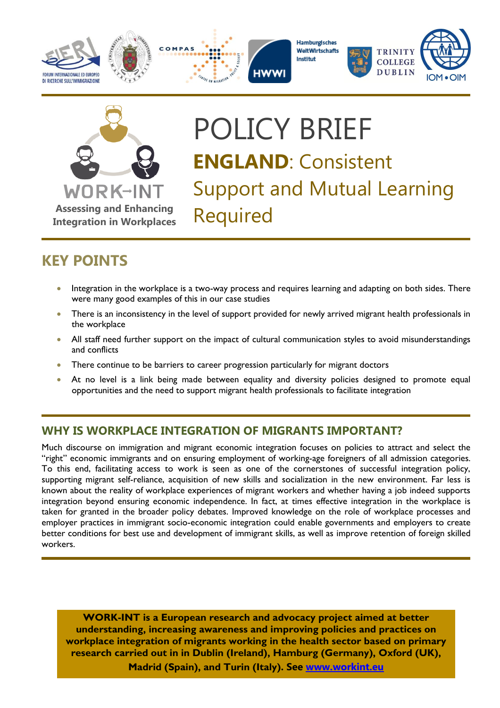





Hamburgisches WeltWirtschafts Institut





# POLICY BRIEF **ENGLAND**: Consistent Support and Mutual Learning

## **KEY POINTS**

- Integration in the workplace is a two-way process and requires learning and adapting on both sides. There were many good examples of this in our case studies
- There is an inconsistency in the level of support provided for newly arrived migrant health professionals in the workplace
- All staff need further support on the impact of cultural communication styles to avoid misunderstandings and conflicts
- There continue to be barriers to career progression particularly for migrant doctors
- At no level is a link being made between equality and diversity policies designed to promote equal opportunities and the need to support migrant health professionals to facilitate integration

## **WHY IS WORKPLACE INTEGRATION OF MIGRANTS IMPORTANT?**

Much discourse on immigration and migrant economic integration focuses on policies to attract and select the "right" economic immigrants and on ensuring employment of working-age foreigners of all admission categories. To this end, facilitating access to work is seen as one of the cornerstones of successful integration policy, supporting migrant self-reliance, acquisition of new skills and socialization in the new environment. Far less is known about the reality of workplace experiences of migrant workers and whether having a job indeed supports integration beyond ensuring economic independence. In fact, at times effective integration in the workplace is taken for granted in the broader policy debates. Improved knowledge on the role of workplace processes and employer practices in immigrant socio-economic integration could enable governments and employers to create better conditions for best use and development of immigrant skills, as well as improve retention of foreign skilled workers.

**WORK-INT is a European research and advocacy project aimed at better understanding, increasing awareness and improving policies and practices on workplace integration of migrants working in the health sector based on primary research carried out in in Dublin (Ireland), Hamburg (Germany), Oxford (UK), Madrid (Spain), and Turin (Italy). See [www.workint.eu](http://www.work-int.eu/)**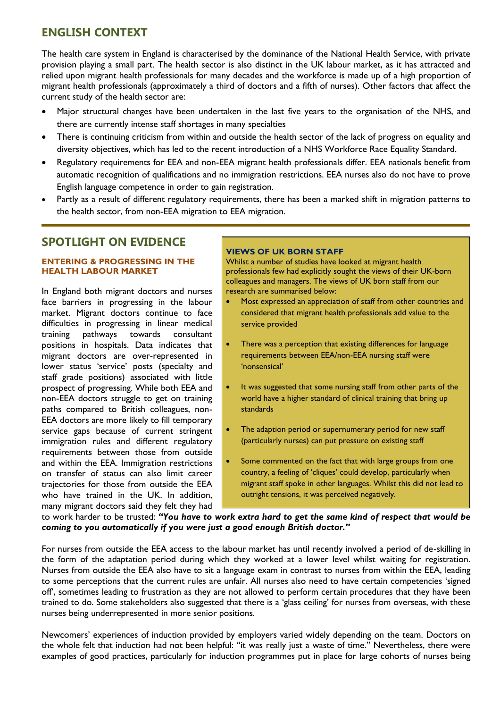## **ENGLISH CONTEXT**

The health care system in England is characterised by the dominance of the National Health Service, with private provision playing a small part. The health sector is also distinct in the UK labour market, as it has attracted and relied upon migrant health professionals for many decades and the workforce is made up of a high proportion of migrant health professionals (approximately a third of doctors and a fifth of nurses). Other factors that affect the current study of the health sector are:

- Major structural changes have been undertaken in the last five years to the organisation of the NHS, and there are currently intense staff shortages in many specialties
- There is continuing criticism from within and outside the health sector of the lack of progress on equality and diversity objectives, which has led to the recent introduction of a NHS Workforce Race Equality Standard.
- Regulatory requirements for EEA and non-EEA migrant health professionals differ. EEA nationals benefit from automatic recognition of qualifications and no immigration restrictions. EEA nurses also do not have to prove English language competence in order to gain registration.
- Partly as a result of different regulatory requirements, there has been a marked shift in migration patterns to the health sector, from non-EEA migration to EEA migration.

## **SPOTLIGHT ON EVIDENCE**

#### **ENTERING & PROGRESSING IN THE HEALTH LABOUR MARKET**

In England both migrant doctors and nurses face barriers in progressing in the labour market. Migrant doctors continue to face difficulties in progressing in linear medical training pathways towards consultant positions in hospitals. Data indicates that migrant doctors are over-represented in lower status 'service' posts (specialty and staff grade positions) associated with little prospect of progressing. While both EEA and non-EEA doctors struggle to get on training paths compared to British colleagues, non-EEA doctors are more likely to fill temporary service gaps because of current stringent immigration rules and different regulatory requirements between those from outside and within the EEA. Immigration restrictions on transfer of status can also limit career trajectories for those from outside the EEA who have trained in the UK. In addition, many migrant doctors said they felt they had

#### **VIEWS OF UK BORN STAFF**

Whilst a number of studies have looked at migrant health professionals few had explicitly sought the views of their UK-born colleagues and managers. The views of UK born staff from our research are summarised below:

- Most expressed an appreciation of staff from other countries and considered that migrant health professionals add value to the service provided
- There was a perception that existing differences for language requirements between EEA/non-EEA nursing staff were 'nonsensical'
- It was suggested that some nursing staff from other parts of the world have a higher standard of clinical training that bring up standards
- The adaption period or supernumerary period for new staff (particularly nurses) can put pressure on existing staff
- Some commented on the fact that with large groups from one country, a feeling of 'cliques' could develop, particularly when migrant staff spoke in other languages. Whilst this did not lead to outright tensions, it was perceived negatively.

to work harder to be trusted: *"You have to work extra hard to get the same kind of respect that would be coming to you automatically if you were just a good enough British doctor."*

For nurses from outside the EEA access to the labour market has until recently involved a period of de-skilling in the form of the adaptation period during which they worked at a lower level whilst waiting for registration. Nurses from outside the EEA also have to sit a language exam in contrast to nurses from within the EEA, leading to some perceptions that the current rules are unfair. All nurses also need to have certain competencies 'signed off', sometimes leading to frustration as they are not allowed to perform certain procedures that they have been trained to do. Some stakeholders also suggested that there is a 'glass ceiling' for nurses from overseas, with these nurses being underrepresented in more senior positions.

Newcomers' experiences of induction provided by employers varied widely depending on the team. Doctors on the whole felt that induction had not been helpful: "it was really just a waste of time." Nevertheless, there were examples of good practices, particularly for induction programmes put in place for large cohorts of nurses being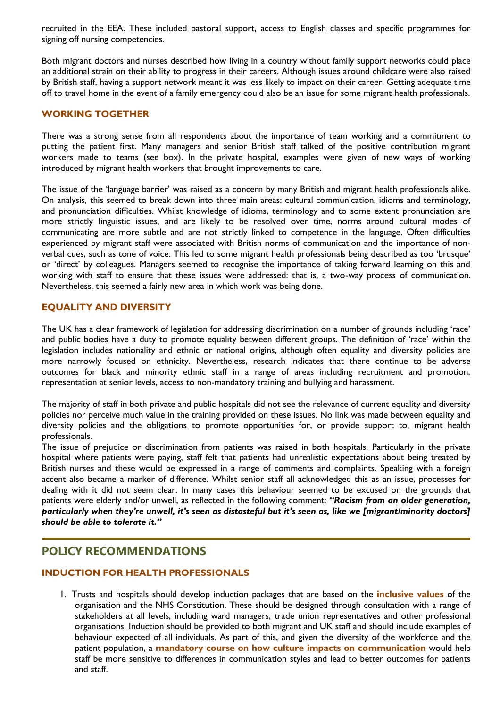recruited in the EEA. These included pastoral support, access to English classes and specific programmes for signing off nursing competencies.

Both migrant doctors and nurses described how living in a country without family support networks could place an additional strain on their ability to progress in their careers. Although issues around childcare were also raised by British staff, having a support network meant it was less likely to impact on their career. Getting adequate time off to travel home in the event of a family emergency could also be an issue for some migrant health professionals.

#### **WORKING TOGETHER**

There was a strong sense from all respondents about the importance of team working and a commitment to putting the patient first. Many managers and senior British staff talked of the positive contribution migrant workers made to teams (see box). In the private hospital, examples were given of new ways of working introduced by migrant health workers that brought improvements to care.

The issue of the 'language barrier' was raised as a concern by many British and migrant health professionals alike. On analysis, this seemed to break down into three main areas: cultural communication, idioms and terminology, and pronunciation difficulties. Whilst knowledge of idioms, terminology and to some extent pronunciation are more strictly linguistic issues, and are likely to be resolved over time, norms around cultural modes of communicating are more subtle and are not strictly linked to competence in the language. Often difficulties experienced by migrant staff were associated with British norms of communication and the importance of nonverbal cues, such as tone of voice. This led to some migrant health professionals being described as too 'brusque' or 'direct' by colleagues. Managers seemed to recognise the importance of taking forward learning on this and working with staff to ensure that these issues were addressed: that is, a two-way process of communication. Nevertheless, this seemed a fairly new area in which work was being done.

#### **EQUALITY AND DIVERSITY**

The UK has a clear framework of legislation for addressing discrimination on a number of grounds including 'race' and public bodies have a duty to promote equality between different groups. The definition of 'race' within the legislation includes nationality and ethnic or national origins, although often equality and diversity policies are more narrowly focused on ethnicity. Nevertheless, research indicates that there continue to be adverse outcomes for black and minority ethnic staff in a range of areas including recruitment and promotion, representation at senior levels, access to non-mandatory training and bullying and harassment.

The majority of staff in both private and public hospitals did not see the relevance of current equality and diversity policies nor perceive much value in the training provided on these issues. No link was made between equality and diversity policies and the obligations to promote opportunities for, or provide support to, migrant health professionals.

The issue of prejudice or discrimination from patients was raised in both hospitals. Particularly in the private hospital where patients were paying, staff felt that patients had unrealistic expectations about being treated by British nurses and these would be expressed in a range of comments and complaints. Speaking with a foreign accent also became a marker of difference. Whilst senior staff all acknowledged this as an issue, processes for dealing with it did not seem clear. In many cases this behaviour seemed to be excused on the grounds that patients were elderly and/or unwell, as reflected in the following comment: *"Racism from an older generation, particularly when they're unwell, it's seen as distasteful but it's seen as, like we [migrant/minority doctors] should be able to tolerate it."*

## **POLICY RECOMMENDATIONS**

#### **INDUCTION FOR HEALTH PROFESSIONALS**

1. Trusts and hospitals should develop induction packages that are based on the **inclusive values** of the organisation and the NHS Constitution. These should be designed through consultation with a range of stakeholders at all levels, including ward managers, trade union representatives and other professional organisations. Induction should be provided to both migrant and UK staff and should include examples of behaviour expected of all individuals. As part of this, and given the diversity of the workforce and the patient population, a **mandatory course on how culture impacts on communication** would help staff be more sensitive to differences in communication styles and lead to better outcomes for patients and staff.